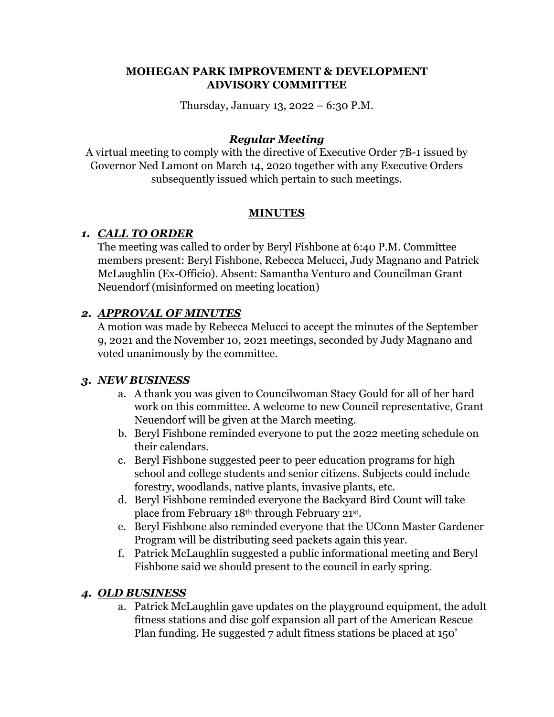#### **MOHEGAN PARK IMPROVEMENT & DEVELOPMENT ADVISORY COMMITTEE**

Thursday, January 13, 2022 – 6:30 P.M.

### *Regular Meeting*

A virtual meeting to comply with the directive of Executive Order 7B-1 issued by Governor Ned Lamont on March 14, 2020 together with any Executive Orders subsequently issued which pertain to such meetings.

#### **MINUTES**

# *1. CALL TO ORDER*

The meeting was called to order by Beryl Fishbone at 6:40 P.M. Committee members present: Beryl Fishbone, Rebecca Melucci, Judy Magnano and Patrick McLaughlin (Ex-Officio). Absent: Samantha Venturo and Councilman Grant Neuendorf (misinformed on meeting location)

### *2. APPROVAL OF MINUTES*

A motion was made by Rebecca Melucci to accept the minutes of the September 9, 2021 and the November 10, 2021 meetings, seconded by Judy Magnano and voted unanimously by the committee.

# *3. NEW BUSINESS*

- a. A thank you was given to Councilwoman Stacy Gould for all of her hard work on this committee. A welcome to new Council representative, Grant Neuendorf will be given at the March meeting.
- b. Beryl Fishbone reminded everyone to put the 2022 meeting schedule on their calendars.
- c. Beryl Fishbone suggested peer to peer education programs for high school and college students and senior citizens. Subjects could include forestry, woodlands, native plants, invasive plants, etc.
- d. Beryl Fishbone reminded everyone the Backyard Bird Count will take place from February 18th through February 21st.
- e. Beryl Fishbone also reminded everyone that the UConn Master Gardener Program will be distributing seed packets again this year.
- f. Patrick McLaughlin suggested a public informational meeting and Beryl Fishbone said we should present to the council in early spring.

# *4. OLD BUSINESS*

a. Patrick McLaughlin gave updates on the playground equipment, the adult fitness stations and disc golf expansion all part of the American Rescue Plan funding. He suggested 7 adult fitness stations be placed at 150'